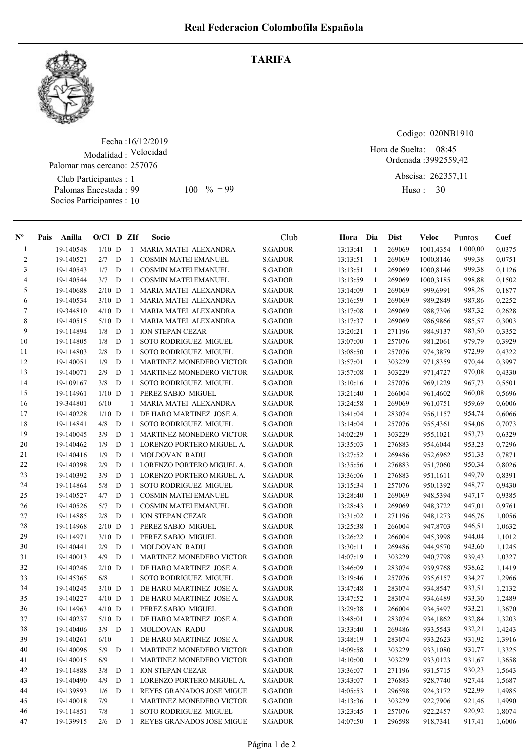TARIFA



Fecha : 16/12/2019 Modalidad : Velocidad Club Participantes : 1 Palomas Encestada : 99 Palomar mas cercano: 257076

Socios Participantes : 10

99 100 % = 99 Huso: 30

Codigo: 020NB1910

Ordenada : 3992559,42 Hora de Suelta: 08:45

> Abscisa: 262357,11 Huso: 30

| $N^{\circ}$    | Pais | Anilla                 | $O/Cl$ D ZIf |   |              | Socio                                               | Club               | Hora Dia             |              | <b>Dist</b>      | Veloc                | Puntos           | Coef             |
|----------------|------|------------------------|--------------|---|--------------|-----------------------------------------------------|--------------------|----------------------|--------------|------------------|----------------------|------------------|------------------|
| 1              |      | 19-140548              | $1/10$ D     |   |              | 1 MARIA MATEI ALEXANDRA                             | <b>S.GADOR</b>     | 13:13:41             | -1           | 269069           | 1001,4354            | 1.000,00         | 0,0375           |
| 2              |      | 19-140521              | 2/7          | D | 1            | <b>COSMIN MATEI EMANUEL</b>                         | S.GADOR            | 13:13:51             | 1            | 269069           | 1000,8146            | 999,38           | 0,0751           |
| 3              |      | 19-140543              | 1/7          | D | $\mathbf{1}$ | COSMIN MATEI EMANUEL                                | S.GADOR            | 13:13:51             | 1            | 269069           | 1000,8146            | 999,38           | 0,1126           |
| $\overline{4}$ |      | 19-140544              | 3/7          | D | $\mathbf{1}$ | <b>COSMIN MATEI EMANUEL</b>                         | <b>S.GADOR</b>     | 13:13:59             | -1           | 269069           | 1000,3185            | 998,88           | 0,1502           |
| 5              |      | 19-140688              | $2/10$ D     |   | 1            | MARIA MATEI ALEXANDRA                               | <b>S.GADOR</b>     | 13:14:09             | -1           | 269069           | 999.6991             | 998,26           | 0,1877           |
| 6              |      | 19-140534              | $3/10$ D     |   | 1            | MARIA MATEI ALEXANDRA                               | S.GADOR            | 13:16:59             | -1           | 269069           | 989,2849             | 987,86           | 0,2252           |
| $\tau$         |      | 19-344810              | $4/10$ D     |   | $\mathbf{1}$ | MARIA MATEI ALEXANDRA                               | <b>S.GADOR</b>     | 13:17:08             | $\mathbf{1}$ | 269069           | 988,7396             | 987,32           | 0,2628           |
| $\,8\,$        |      | 19-140515              | $5/10$ D     |   | 1            | MARIA MATEI ALEXANDRA                               | <b>S.GADOR</b>     | 13:17:37             | -1           | 269069           | 986,9866             | 985,57           | 0,3003           |
| 9              |      | 19-114894              | 1/8          | D | 1            | <b>ION STEPAN CEZAR</b>                             | <b>S.GADOR</b>     | 13:20:21             | 1            | 271196           | 984,9137             | 983,50           | 0,3352           |
| 10             |      | 19-114805              | 1/8          | D | 1            | SOTO RODRIGUEZ MIGUEL                               | S.GADOR            | 13:07:00             | 1            | 257076           | 981,2061             | 979,79           | 0,3929           |
| 11             |      | 19-114803              | 2/8          | D | 1            | <b>SOTO RODRIGUEZ MIGUEL</b>                        | S.GADOR            | 13:08:50             | -1           | 257076           | 974,3879             | 972,99           | 0,4322           |
| 12             |      | 19-140051              | 1/9          | D | 1            | MARTINEZ MONEDERO VICTOR                            | S.GADOR            | 13:57:01             | -1           | 303229           | 971,8359             | 970,44           | 0,3997           |
| 13             |      | 19-140071              | 2/9          | D | $\mathbf{1}$ | <b>MARTINEZ MONEDERO VICTOR</b>                     | S.GADOR            | 13:57:08             | -1           | 303229           | 971,4727             | 970,08           | 0,4330           |
| 14             |      | 19-109167              | 3/8          | D | $\mathbf{1}$ | SOTO RODRIGUEZ MIGUEL                               | <b>S.GADOR</b>     | 13:10:16             | 1            | 257076           | 969,1229             | 967,73           | 0,5501           |
| 15             |      | 19-114961              | $1/10$ D     |   | 1            | PEREZ SABIO MIGUEL                                  | S.GADOR            | 13:21:40             | 1            | 266004           | 961,4602             | 960,08           | 0,5696           |
| 16             |      | 19-344801              | 6/10         |   | 1            | MARIA MATEI ALEXANDRA                               | <b>S.GADOR</b>     | 13:24:58             | -1           | 269069           | 961,0751             | 959,69           | 0,6006           |
| 17             |      | 19-140228              | $1/10$ D     |   | 1            | DE HARO MARTINEZ JOSE A.                            | S.GADOR            | 13:41:04             | -1           | 283074           | 956,1157             | 954,74           | 0,6066           |
| 18             |      | 19-114841              | 4/8          | D | $\mathbf{1}$ | SOTO RODRIGUEZ MIGUEL                               | S.GADOR            | 13:14:04             | -1           | 257076           | 955,4361             | 954,06           | 0,7073           |
| 19             |      | 19-140045              | 3/9          | D | $\mathbf{1}$ | <b>MARTINEZ MONEDERO VICTOR</b>                     | S.GADOR            | 14:02:29             | 1            | 303229           | 955,1021             | 953,73           | 0,6329           |
| 20             |      | 19-140462              | 1/9          | D | $\mathbf{1}$ | LORENZO PORTERO MIGUEL A.                           | S.GADOR            | 13:35:03             | 1            | 276883           | 954,6044             | 953,23           | 0,7296           |
| 21             |      | 19-140416              | 1/9          | D | 1            | MOLDOVAN RADU                                       | S.GADOR            | 13:27:52             | -1           | 269486           | 952,6962             | 951,33           | 0,7871           |
| 22             |      | 19-140398              | 2/9          | D | 1            | LORENZO PORTERO MIGUEL A.                           | S.GADOR            | 13:35:56             | 1            | 276883           | 951,7060             | 950,34           | 0,8026           |
| 23             |      | 19-140392              | 3/9          | D | 1            | LORENZO PORTERO MIGUEL A.                           | S.GADOR            | 13:36:06             | 1            | 276883           | 951,1611             | 949,79           | 0,8391           |
| 24             |      | 19-114864              | 5/8          | D | 1            | SOTO RODRIGUEZ MIGUEL                               | S.GADOR            | 13:15:34             | 1            | 257076           | 950,1392             | 948,77           | 0,9430           |
| 25             |      | 19-140527              | 4/7          | D | $\mathbf{1}$ | <b>COSMIN MATEI EMANUEL</b>                         | S.GADOR            | 13:28:40             | 1            | 269069           | 948,5394             | 947,17           | 0,9385           |
| 26             |      | 19-140526              | 5/7          | D | 1            | <b>COSMIN MATEI EMANUEL</b>                         | S.GADOR            | 13:28:43             | 1            | 269069           | 948,3722             | 947,01           | 0,9761           |
| 27             |      | 19-114885              | 2/8          | D | 1            | <b>ION STEPAN CEZAR</b>                             | S.GADOR            | 13:31:02             | 1            | 271196           | 948,1273             | 946,76           | 1,0056           |
| 28             |      | 19-114968              | $2/10$ D     |   | $\mathbf{1}$ | PEREZ SABIO MIGUEL                                  | S.GADOR            | 13:25:38             | -1           | 266004           | 947,8703             | 946,51           | 1,0632           |
| 29             |      | 19-114971              | $3/10$ D     |   | 1            | PEREZ SABIO MIGUEL                                  | S.GADOR            | 13:26:22             | -1           | 266004           | 945,3998             | 944,04           | 1,1012           |
| 30             |      | 19-140441              | 2/9          | D | $\mathbf{1}$ | MOLDOVAN RADU                                       | S.GADOR            | 13:30:11             | -1           | 269486           | 944,9570             | 943,60           | 1,1245           |
| 31             |      | 19-140013              | 4/9          | D | $\mathbf{1}$ | <b>MARTINEZ MONEDERO VICTOR</b>                     | S.GADOR            | 14:07:19             | 1            | 303229           | 940,7798             | 939,43           | 1,0327           |
| 32             |      | 19-140246              | $2/10$ D     |   | 1            | DE HARO MARTINEZ JOSE A.                            | S.GADOR            | 13:46:09             | 1            | 283074           | 939,9768             | 938,62           | 1,1419           |
| 33             |      | 19-145365              | 6/8          |   | 1            | <b>SOTO RODRIGUEZ MIGUEL</b>                        | S.GADOR            | 13:19:46             | 1            | 257076           | 935,6157             | 934,27           | 1,2966           |
| 34             |      | 19-140245              | $3/10$ D     |   | $\mathbf{1}$ | DE HARO MARTINEZ JOSE A.                            | S.GADOR            | 13:47:48             | 1            | 283074           | 934,8547             | 933,51           | 1,2132           |
| 35             |      | 19-140227              | $4/10$ D     |   |              | 1 DE HARO MARTINEZ JOSE A.                          | S.GADOR            | 13:47:52             | -1           | 283074           | 934,6489             | 933,30           | 1,2489           |
| 36             |      | 19-114963              | $4/10$ D     |   |              | PEREZ SABIO MIGUEL                                  | <b>S.GADOR</b>     | 13:29:38             | 1            | 266004           | 934,5497             | 933,21           | 1,3670           |
| 37             |      | 19-140237              | $5/10$ D     |   |              | 1 DE HARO MARTINEZ JOSE A.                          | S.GADOR            | 13:48:01             | 1            | 283074           | 934,1862             | 932,84           | 1,3203           |
| 38             |      | 19-140406              | 3/9          | D |              | 1 MOLDOVAN RADU                                     | S.GADOR            | 13:33:40             | $\mathbf{1}$ | 269486           | 933,5543             | 932,21           | 1,4243           |
| 39             |      | 19-140261              | 6/10         |   |              | 1 DE HARO MARTINEZ JOSE A.                          | S.GADOR            | 13:48:19             | -1           | 283074           | 933,2623             | 931,92           | 1,3916           |
| 40             |      | 19-140096              | 5/9          | D | 1            | MARTINEZ MONEDERO VICTOR                            | S.GADOR            | 14:09:58             | 1            | 303229           | 933,1080             | 931,77           | 1,3325           |
| 41             |      | 19-140015              | 6/9          |   |              | 1 MARTINEZ MONEDERO VICTOR                          | S.GADOR            | 14:10:00             | -1           | 303229           | 933,0123             | 931,67           | 1,3658           |
| 42             |      | 19-114888              | 3/8          | D | 1            | <b>ION STEPAN CEZAR</b>                             | S.GADOR            | 13:36:07             | -1           | 271196           |                      | 930,23           | 1,5643           |
| 43             |      | 19-140490              | 4/9          | D |              | 1 LORENZO PORTERO MIGUEL A.                         | S.GADOR            | 13:43:07             | $\mathbf{1}$ | 276883           | 931,5715<br>928,7740 | 927,44           | 1,5687           |
|                |      |                        |              |   |              |                                                     |                    |                      |              |                  |                      |                  | 1,4985           |
| 44<br>45       |      | 19-139893<br>19-140018 | 1/6<br>7/9   | D | $\mathbf{1}$ | REYES GRANADOS JOSE MIGUE                           | S.GADOR            | 14:05:53             | -1           | 296598<br>303229 | 924,3172             | 922,99           |                  |
| 46             |      |                        |              |   |              | 1 MARTINEZ MONEDERO VICTOR<br>SOTO RODRIGUEZ MIGUEL | S.GADOR            | 14:13:36             | -1           |                  | 922,7906             | 921,46<br>920,92 | 1,4990           |
| 47             |      | 19-114851<br>19-139915 | 7/8<br>2/6   | D | 1            | 1 REYES GRANADOS JOSE MIGUE                         | S.GADOR<br>S.GADOR | 13:23:45<br>14:07:50 | -1<br>1      | 257076<br>296598 | 922,2457<br>918,7341 | 917,41           | 1,8074<br>1,6006 |
|                |      |                        |              |   |              |                                                     |                    |                      |              |                  |                      |                  |                  |